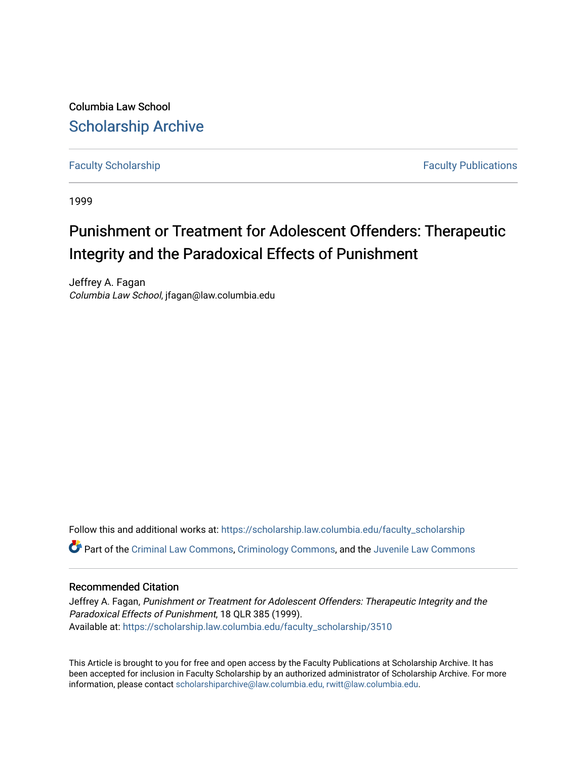Columbia Law School [Scholarship Archive](https://scholarship.law.columbia.edu/) 

[Faculty Scholarship](https://scholarship.law.columbia.edu/faculty_scholarship) **Faculty Scholarship Faculty Publications** 

1999

# Punishment or Treatment for Adolescent Offenders: Therapeutic Integrity and the Paradoxical Effects of Punishment

Jeffrey A. Fagan Columbia Law School, jfagan@law.columbia.edu

Follow this and additional works at: [https://scholarship.law.columbia.edu/faculty\\_scholarship](https://scholarship.law.columbia.edu/faculty_scholarship?utm_source=scholarship.law.columbia.edu%2Ffaculty_scholarship%2F3510&utm_medium=PDF&utm_campaign=PDFCoverPages) Part of the [Criminal Law Commons,](https://network.bepress.com/hgg/discipline/912?utm_source=scholarship.law.columbia.edu%2Ffaculty_scholarship%2F3510&utm_medium=PDF&utm_campaign=PDFCoverPages) [Criminology Commons,](https://network.bepress.com/hgg/discipline/417?utm_source=scholarship.law.columbia.edu%2Ffaculty_scholarship%2F3510&utm_medium=PDF&utm_campaign=PDFCoverPages) and the [Juvenile Law Commons](https://network.bepress.com/hgg/discipline/851?utm_source=scholarship.law.columbia.edu%2Ffaculty_scholarship%2F3510&utm_medium=PDF&utm_campaign=PDFCoverPages) 

# Recommended Citation

Jeffrey A. Fagan, Punishment or Treatment for Adolescent Offenders: Therapeutic Integrity and the Paradoxical Effects of Punishment, 18 QLR 385 (1999). Available at: [https://scholarship.law.columbia.edu/faculty\\_scholarship/3510](https://scholarship.law.columbia.edu/faculty_scholarship/3510?utm_source=scholarship.law.columbia.edu%2Ffaculty_scholarship%2F3510&utm_medium=PDF&utm_campaign=PDFCoverPages)

This Article is brought to you for free and open access by the Faculty Publications at Scholarship Archive. It has been accepted for inclusion in Faculty Scholarship by an authorized administrator of Scholarship Archive. For more information, please contact [scholarshiparchive@law.columbia.edu, rwitt@law.columbia.edu](mailto:scholarshiparchive@law.columbia.edu,%20rwitt@law.columbia.edu).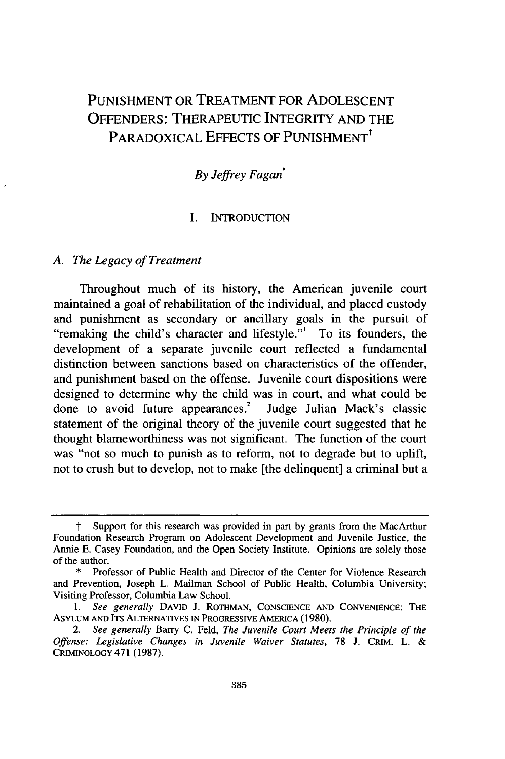# PUNISHMENT OR TREATMENT FOR ADOLESCENT OFFENDERS: THERAPEUTIC INTEGRITY AND THE PARADOXICAL EFFECTS OF PUNISHMENT<sup>†</sup>

## *By Jeffrey Fagan\**

#### I. INTRODUCTION

#### *A. The Legacy of Treatment*

Throughout much of its history, the American juvenile court maintained a goal of rehabilitation of the individual, and placed custody and punishment as secondary or ancillary goals in the pursuit of "remaking the child's character and lifestyle."' To its founders, the development of a separate juvenile court reflected a fundamental distinction between sanctions based on characteristics of the offender, and punishment based on the offense. Juvenile court dispositions were designed to determine why the child was in court, and what could be done to avoid future appearances.<sup>2</sup> Judge Julian Mack's classic statement of the original theory of the juvenile court suggested that he thought blameworthiness was not significant. The function of the court was "not so much to punish as to reform, not to degrade but to uplift, not to crush but to develop, not to make [the delinquent] a criminal but a

Support for this research was provided in part by grants from the MacArthur Foundation Research Program on Adolescent Development and Juvenile Justice, the Annie E. Casey Foundation, and the Open Society Institute. Opinions are solely those of the author.

<sup>\*</sup> Professor of Public Health and Director of the Center for Violence Research and Prevention, Joseph L. Mailman School of Public Health, Columbia University; Visiting Professor, Columbia Law School.

*<sup>1.</sup> See generally* **DAVID** J. ROTHMAN, **CONSCIENCE AND** CONVENIENCE: THE ASYLUM **AND** ITS ALTERNATIVES **IN** PROGRESSIVE AMERICA (1980).

*<sup>2.</sup> See generally* Barry C. Feld, *The Juvenile Court Meets the Principle of the Offense: Legislative Changes in Juvenile Waiver Statutes,* 78 **J.** CRIM. L. & CRIMINOLOGY 471 (1987).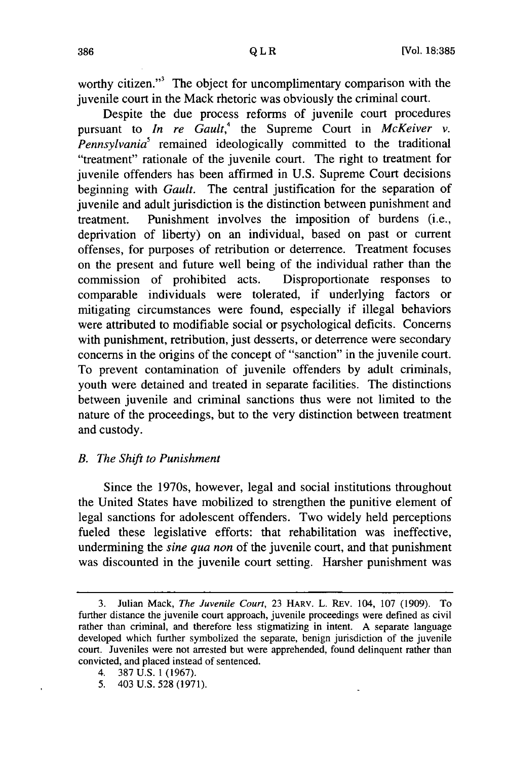worthy citizen."<sup>3</sup> The object for uncomplimentary comparison with the juvenile court in the Mack rhetoric was obviously the criminal court.

Despite the due process reforms of juvenile court procedures pursuant to *In re Gault*,<sup>4</sup> the Supreme Court in *McKeiver v. Pennsylvania'* remained ideologically committed to the traditional "treatment" rationale of the juvenile court. The right to treatment for juvenile offenders has been affirmed in U.S. Supreme Court decisions beginning with *Gault.* The central justification for the separation of juvenile and adult jurisdiction is the distinction between punishment and treatment. Punishment involves the imposition of burdens (i.e., deprivation of liberty) on an individual, based on past or current offenses, for purposes of retribution or deterrence. Treatment focuses on the present and future well being of the individual rather than the commission of prohibited acts. Disproportionate responses to comparable individuals were tolerated, if underlying factors or mitigating circumstances were found, especially if illegal behaviors were attributed to modifiable social or psychological deficits. Concerns with punishment, retribution, just desserts, or deterrence were secondary concerns in the origins of the concept of "sanction" in the juvenile court. To prevent contamination of juvenile offenders by adult criminals, youth were detained and treated in separate facilities. The distinctions between juvenile and criminal sanctions thus were not limited to the nature of the proceedings, but to the very distinction between treatment and custody.

#### *B. The Shift to Punishment*

Since the 1970s, however, legal and social institutions throughout the United States have mobilized to strengthen the punitive element of legal sanctions for adolescent offenders. Two widely held perceptions fueled these legislative efforts: that rehabilitation was ineffective, undermining the *sine qua non* of the juvenile court, and that punishment was discounted in the juvenile court setting. Harsher punishment was

5. 403 U.S. 528 (1971).

<sup>3.</sup> Julian Mack, *The Juvenile Court,* 23 HARV. L. REv. 104, 107 (1909). To further distance the juvenile court approach, juvenile proceedings were defined as civil rather than criminal, and therefore less stigmatizing in intent. A separate language developed which further symbolized the separate, benign jurisdiction of the juvenile court. Juveniles were not arrested but were apprehended, found delinquent rather than convicted, and placed instead of sentenced.

<sup>4. 387</sup> U.S. 1 (1967).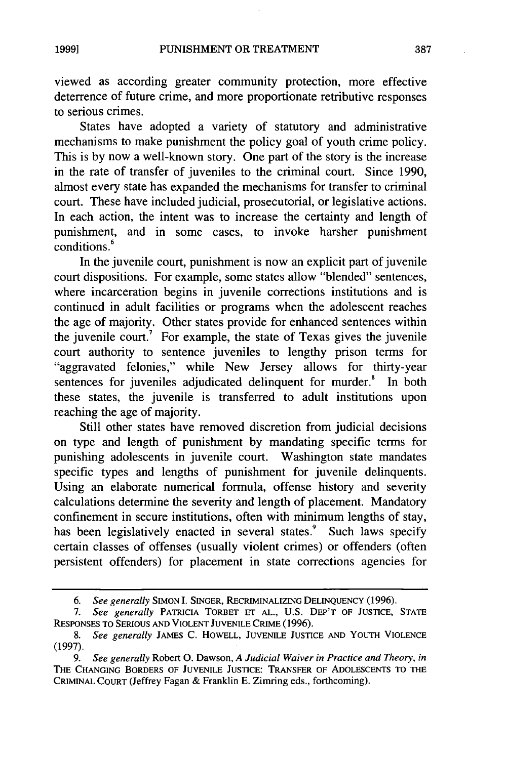viewed as according greater community protection, more effective deterrence of future crime, and more proportionate retributive responses to serious crimes.

States have adopted a variety of statutory and administrative mechanisms to make punishment the policy goal of youth crime policy. This is by now a well-known story. One part of the story is the increase in the rate of transfer of juveniles to the criminal court. Since 1990, almost every state has expanded the mechanisms for transfer to criminal court. These have included judicial, prosecutorial, or legislative actions. In each action, the intent was to increase the certainty and length of punishment, and in some cases, to invoke harsher punishment conditions **.**

In the juvenile court, punishment is now an explicit part of juvenile court dispositions. For example, some states allow "blended" sentences, where incarceration begins in juvenile corrections institutions and is continued in adult facilities or programs when the adolescent reaches the age of majority. Other states provide for enhanced sentences within the juvenile court.<sup>7</sup> For example, the state of Texas gives the juvenile court authority to sentence juveniles to lengthy prison terms for "aggravated felonies," while New Jersey allows for thirty-year sentences for juveniles adjudicated delinquent for murder.<sup>8</sup> In both these states, the juvenile is transferred to adult institutions upon reaching the age of majority.

Still other states have removed discretion from judicial decisions on type and length of punishment by mandating specific terms for punishing adolescents in juvenile court. Washington state mandates specific types and lengths of punishment for juvenile delinquents. Using an elaborate numerical formula, offense history and severity calculations determine the severity and length of placement. Mandatory confinement in secure institutions, often with minimum lengths of stay, has been legislatively enacted in several states.<sup>9</sup> Such laws specify certain classes of offenses (usually violent crimes) or offenders (often persistent offenders) for placement in state corrections agencies for

*<sup>6.</sup> See generally* **SIMON** I. **SINGER,** RECRIMINALIZING **DELINQUENCY** (1996).

*<sup>7.</sup> See generally* PATRICIA TORBET **ET AL.,** U.S. DEP'T OF **JUSTICE, STATE** RESPONSES **TO** SERIOUS **AND VIOLENT JUVENILE** CRIME (1996).

*<sup>8.</sup> See generally* JAMES C. HOWELL, **JUVENILE JUSTICE AND YOUTH** VIOLENCE (1997).

*<sup>9.</sup> See generally* Robert **0.** Dawson, *A Judicial Waiver in Practice and Theory, in* THE **CHANGING** BORDERS OF **JUVENILE JUSTICE:** TRANSFER OF **ADOLESCENTS** TO THE CRIMINAL **COURT** (Jeffrey Fagan & Franklin E. Zimring eds., forthcoming).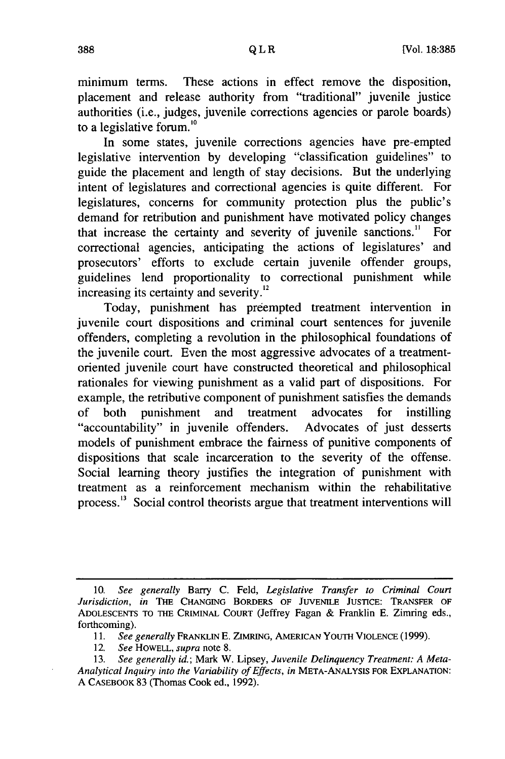minimum terms. These actions in effect remove the disposition, placement and release authority from "traditional" juvenile justice authorities (i.e., judges, juvenile corrections agencies or parole boards) to a legislative forum.'0

In some states, juvenile corrections agencies have pre-empted legislative intervention by developing "classification guidelines" to guide the placement and length of stay decisions. But the underlying intent of legislatures and correctional agencies is quite different. For legislatures, concerns for community protection plus the public's demand for retribution and punishment have motivated policy changes that increase the certainty and severity of juvenile sanctions." For correctional agencies, anticipating the actions of legislatures' and prosecutors' efforts to exclude certain juvenile offender groups, guidelines lend proportionality to correctional punishment while increasing its certainty and severity.<sup>12</sup>

Today, punishment has preempted treatment intervention in juvenile court dispositions and criminal court sentences for juvenile offenders, completing a revolution in the philosophical foundations of the juvenile court. Even the most aggressive advocates of a treatmentoriented juvenile court have constructed theoretical and philosophical rationales for viewing punishment as a valid part of dispositions. For example, the retributive component of punishment satisfies the demands of both punishment and treatment advocates for instilling "accountability" in juvenile offenders. Advocates of just desserts models of punishment embrace the fairness of punitive components of dispositions that scale incarceration to the severity of the offense. Social learning theory justifies the integration of punishment with treatment as a reinforcement mechanism within the rehabilitative process.<sup>13</sup> Social control theorists argue that treatment interventions will

<sup>10.</sup> *See generally* Barry C. Feld, *Legislative Transfer to Criminal Court Jurisdiction, in* THE CHANGING BORDERS OF JUVENILE JUSTICE: TRANSFER OF ADOLESCENTS TO THE CRIMINAL COURT (Jeffrey Fagan & Franklin E. Zimring eds., forthcoming).

*<sup>11.</sup> See generally* FRANKLIN E. ZIMRING, AMERICAN YOUTH VIOLENCE (1999).

<sup>12.</sup> *See* HOWELL, *supra* note 8.

<sup>13.</sup> *See generally id.;* Mark W. Lipsey, *Juvenile Delinquency Treatment: A Meta-Analytical Inquiry into the Variability of Effects, in* META-ANALYSIS FOR EXPLANATION: A CASEBOOK 83 (Thomas Cook ed., 1992).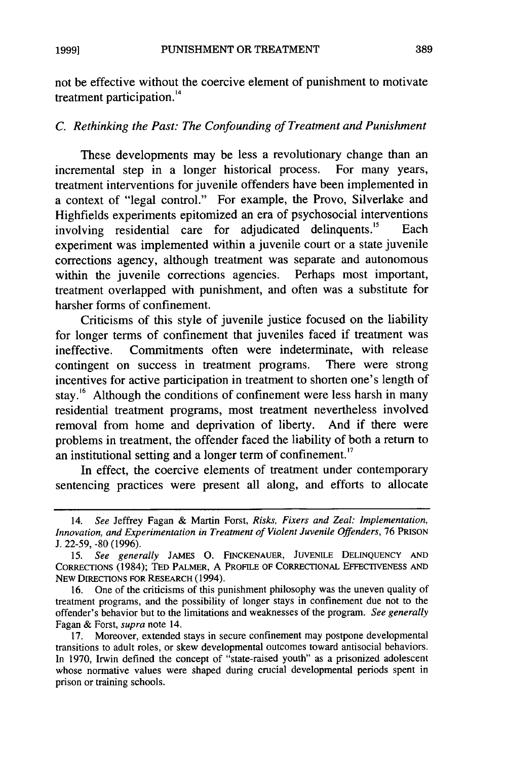not be effective without the coercive element of punishment to motivate treatment participation.<sup>14</sup>

## *C. Rethinking the Past: The Confounding of Treatment and Punishment*

These developments may be less a revolutionary change than an incremental step in a longer historical process. For many years, treatment interventions for juvenile offenders have been implemented in a context of "legal control." For example, the Provo, Silverlake and Highfields experiments epitomized an era of psychosocial interventions involving residential care for adjudicated delinquents.<sup>15</sup> Each experiment was implemented within a juvenile court or a state juvenile corrections agency, although treatment was separate and autonomous within the juvenile corrections agencies. Perhaps most important, treatment overlapped with punishment, and often was a substitute for harsher forms of confinement.

Criticisms of this style of juvenile justice focused on the liability for longer terms of confinement that juveniles faced if treatment was ineffective. Commitments often were indeterminate, with release contingent on success in treatment programs. There were strong incentives for active participation in treatment to shorten one's length of stay.<sup>16</sup> Although the conditions of confinement were less harsh in many residential treatment programs, most treatment nevertheless involved removal from home and deprivation of liberty. And if there were problems in treatment, the offender faced the liability of both a return to an institutional setting and a longer term of confinement.<sup>17</sup>

In effect, the coercive elements of treatment under contemporary sentencing practices were present all along, and efforts to allocate

<sup>14.</sup> *See* Jeffrey Fagan & Martin Forst, *Risks, Fixers and Zeal: Implementation, Innovation, and Experimentation in Treatment of Violent Juvenile Offenders,* 76 PRISON J. 22-59, -80 (1996).

<sup>15.</sup> *See generally* **JAMES 0.** FINCKENAUER, JUVENILE DELINQUENCY AND CORRECTIONS (1984); **TED** PALMER, A PROFILE OF CORRECTIONAL EFFECTIVENESS AND NEW DIRECTIONS FOR RESEARCH (1994).

<sup>16.</sup> One of the criticisms of this punishment philosophy was the uneven quality of treatment programs, and the possibility of longer stays in confinement due not to the offender's behavior but to the limitations and weaknesses of the program. *See generally* Fagan & Forst, *supra* note 14.

<sup>17.</sup> Moreover, extended stays in secure confinement may postpone developmental transitions to adult roles, or skew developmental outcomes toward antisocial behaviors. In 1970, Irwin defined the concept of "state-raised youth" as a prisonized adolescent whose normative values were shaped during crucial developmental periods spent in prison or training schools.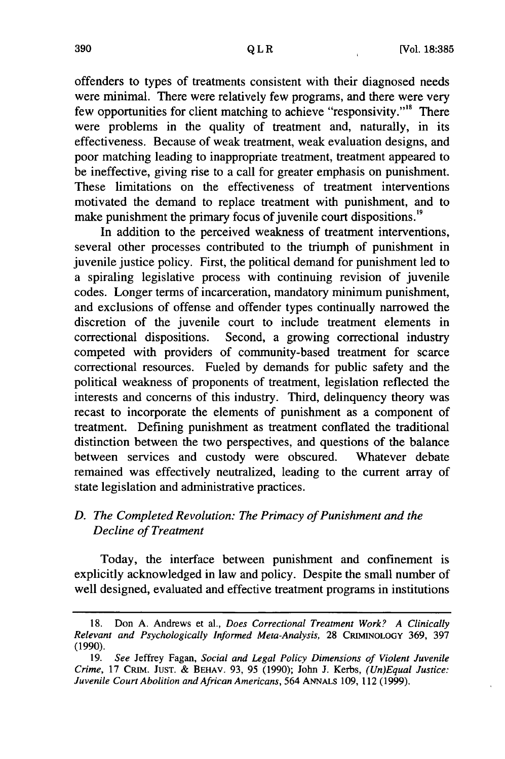offenders to types of treatments consistent with their diagnosed needs were minimal. There were relatively few programs, and there were very few opportunities for client matching to achieve "responsivity."<sup>8</sup> There were problems in the quality of treatment and, naturally, in its effectiveness. Because of weak treatment, weak evaluation designs, and poor matching leading to inappropriate treatment, treatment appeared to be ineffective, giving rise to a call for greater emphasis on punishment. These limitations on the effectiveness of treatment interventions motivated the demand to replace treatment with punishment, and to make punishment the primary focus of juvenile court dispositions.<sup>19</sup>

In addition to the perceived weakness of treatment interventions, several other processes contributed to the triumph of punishment in juvenile justice policy. First, the political demand for punishment led to a spiraling legislative process with continuing revision of juvenile codes. Longer terms of incarceration, mandatory minimum punishment, and exclusions of offense and offender types continually narrowed the discretion of the juvenile court to include treatment elements in correctional dispositions. Second, a growing correctional industry competed with providers of community-based treatment for scarce correctional resources. Fueled by demands for public safety and the political weakness of proponents of treatment, legislation reflected the interests and concerns of this industry. Third, delinquency theory was recast to incorporate the elements of punishment as a component of treatment. Defining punishment as treatment conflated the traditional distinction between the two perspectives, and questions of the balance between services and custody were obscured. Whatever debate remained was effectively neutralized, leading to the current array of state legislation and administrative practices.

# *D. The Completed Revolution: The Primacy of Punishment and the Decline of Treatment*

Today, the interface between punishment and confinement is explicitly acknowledged in law and policy. Despite the small number of well designed, evaluated and effective treatment programs in institutions

<sup>18.</sup> Don A. Andrews et al., *Does Correctional Treatment Work? A Clinically Relevant and Psychologically Informed Meta-Analysis,* 28 CRIMINOLOGY 369, 397 (1990).

<sup>19.</sup> *See* Jeffrey Fagan, *Social and Legal Policy Dimensions of Violent Juvenile Crime,* 17 CRIM. **JUST.** & BEHAV. 93, 95 (1990); John J. Kerbs, *(Un)Equal Justice: Juvenile Court Abolition and African Americans,* 564 ANNALS 109, 112 (1999).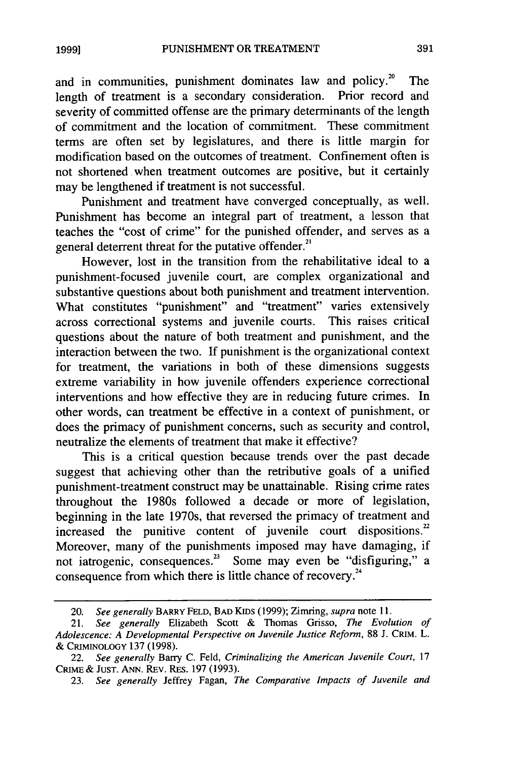and in communities, punishment dominates law and policy. $2^{\circ}$  The length of treatment is a secondary consideration. Prior record and severity of committed offense are the primary determinants of the length of commitment and the location of commitment. These commitment terms are often set by legislatures, and there is little margin for modification based on the outcomes of treatment. Confinement often is not shortened when treatment outcomes are positive, but it certainly may be lengthened if treatment is not successful.

Punishment and treatment have converged conceptually, as well. Punishment has become an integral part of treatment, a lesson that teaches the "cost of crime" for the punished offender, and serves as a general deterrent threat for the putative offender.<sup>21</sup>

However, lost in the transition from the rehabilitative ideal to a punishment-focused juvenile court, are complex organizational and substantive questions about both punishment and treatment intervention. What constitutes "punishment" and "treatment" varies extensively across correctional systems and juvenile courts. This raises critical questions about the nature of both treatment and punishment, and the interaction between the two. If punishment is the organizational context for treatment, the variations in both of these dimensions suggests extreme variability in how juvenile offenders experience correctional interventions and how effective they are in reducing future crimes. In other words, can treatment be effective in a context of punishment, or does the primacy of punishment concerns, such as security and control, neutralize the elements of treatment that make it effective?

This is a critical question because trends over the past decade suggest that achieving other than the retributive goals of a unified punishment-treatment construct may be unattainable. Rising crime rates throughout the 1980s followed a decade or more of legislation, beginning in the late 1970s, that reversed the primacy of treatment and increased the punitive content of juvenile court dispositions.<sup>22</sup> Moreover, many of the punishments imposed may have damaging, if Moreover, many of the punishments imposed may have damaging, if not iatrogenic, consequences.<sup>23</sup> Some may even be "disfiguring," a consequence from which there is little chance of recovery.<sup>24</sup>

<sup>20.</sup> *See generally* BARRY **FELD,** BAD KIDS (1999); Zimring, *supra* note 11.

<sup>21.</sup> *See generally* Elizabeth Scott & Thomas Grisso, *The Evolution of Adolescence: A Developmental Perspective on Juvenile Justice Reform,* 88 J. CRIM. L. & CRIMINOLOGY 137 (1998).

<sup>22.</sup> *See generally* Barry C. Feld, *Criminalizing the American Juvenile Court,* 17 CRIME & **JUST.** ANN. REv. RES. 197 (1993).

<sup>23.</sup> *See generally* Jeffrey Fagan, *The Comparative Impacts of Juvenile and*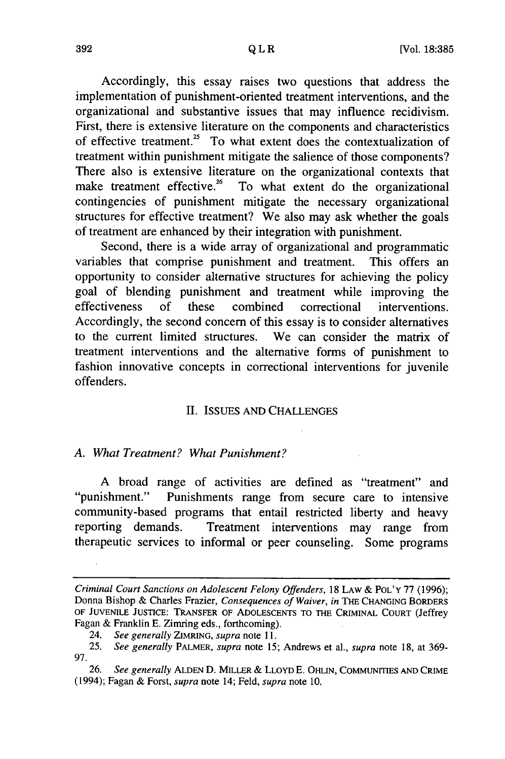Accordingly, this essay raises two questions that address the implementation of punishment-oriented treatment interventions, and the organizational and substantive issues that may influence recidivism. First, there is extensive literature on the components and characteristics of effective treatment.<sup>25</sup> To what extent does the contextualization of treatment within punishment mitigate the salience of those components? There also is extensive literature on the organizational contexts that make treatment effective.<sup>26</sup> To what extent do the organizational contingencies of punishment mitigate the necessary organizational structures for effective treatment? We also may ask whether the goals of treatment are enhanced by their integration with punishment.

Second, there is a wide array of organizational and programmatic variables that comprise punishment and treatment. This offers an opportunity to consider alternative structures for achieving the policy goal of blending punishment and treatment while improving the effectiveness of these combined correctional interventions. Accordingly, the second concern of this essay is to consider alternatives to the current limited structures. We can consider the matrix of treatment interventions and the alternative forms of punishment to fashion innovative concepts in correctional interventions for juvenile offenders.

#### II. ISSUES AND CHALLENGES

#### *A. What Treatment? What Punishment?*

A broad range of activities are defined as "treatment" and "punishment." Punishments range from secure care to intensive community-based programs that entail restricted liberty and heavy reporting demands. Treatment interventions may range from therapeutic services to informal or peer counseling. Some programs

*Criminal Court Sanctions on Adolescent Felony Offenders,* 18 LAW & **POL'Y** 77 (1996); Donna Bishop & Charles Frazier, *Consequences of Waiver, in* THE **CHANGING** BORDERS OF **JUVENILE** JUSTICE: TRANSFER OF **ADOLESCENTS TO** *THE* CRIMINAL **COURT** (Jeffrey Fagan & Franklin E. Zimring eds., forthcoming).

<sup>24.</sup> *See generally* ZIMRING, *supra* note 11.

<sup>25.</sup> *See generally* PALMER, *supra* note 15; Andrews et al., *supra* note 18, at 369- 97.

**<sup>26.</sup>** *See generally* **ALDEN D.** MILLER & LLOYD E. OHHIN, COMMUNITIES **AND** CRIME (1994); Fagan & Forst, *supra* note 14; Feld, *supra* note 10.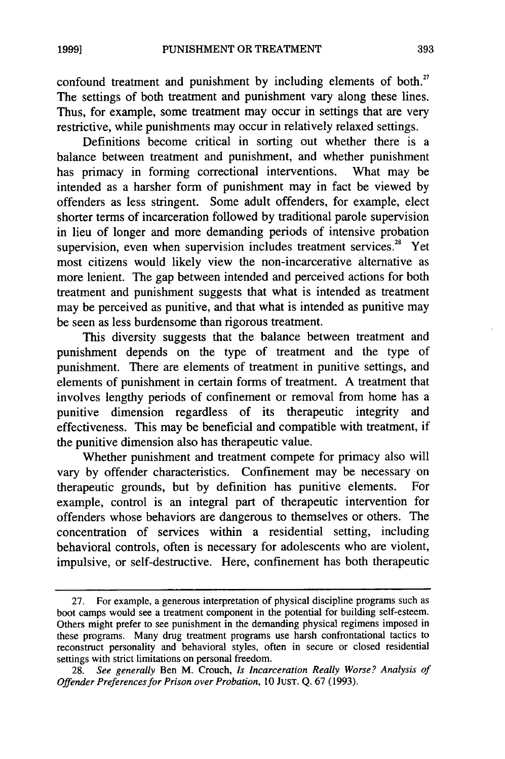confound treatment and punishment by including elements of both.<sup>27</sup> The settings of both treatment and punishment vary along these lines. Thus, for example, some treatment may occur in settings that are very restrictive, while punishments may occur in relatively relaxed settings.

Definitions become critical in sorting out whether there is a balance between treatment and punishment, and whether punishment has primacy in forming correctional interventions. What may be intended as a harsher form of punishment may in fact be viewed by offenders as less stringent. Some adult offenders, for example, elect shorter terms of incarceration followed by traditional parole supervision in lieu of longer and more demanding periods of intensive probation supervision, even when supervision includes treatment services.<sup>28</sup> Yet most citizens would likely view the non-incarcerative alternative as more lenient. The gap between intended and perceived actions for both treatment and punishment suggests that what is intended as treatment may be perceived as punitive, and that what is intended as punitive may be seen as less burdensome than rigorous treatment.

This diversity suggests that the balance between treatment and punishment depends on the type of treatment and the type of punishment. There are elements of treatment in punitive settings, and elements of punishment in certain forms of treatment. A treatment that involves lengthy periods of confinement or removal from home has a punitive dimension regardless of its therapeutic integrity and effectiveness. This may be beneficial and compatible with treatment, if the punitive dimension also has therapeutic value.

Whether punishment and treatment compete for primacy also will vary by offender characteristics. Confinement may be necessary on therapeutic grounds, but by definition has punitive elements. For example, control is an integral part of therapeutic intervention for offenders whose behaviors are dangerous to themselves or others. The concentration of services within a residential setting, including behavioral controls, often is necessary for adolescents who are violent, impulsive, or self-destructive. Here, confinement has both therapeutic

<sup>27.</sup> For example, a generous interpretation of physical discipline programs such as boot camps would see a treatment component in the potential for building self-esteem. Others might prefer to see punishment in the demanding physical regimens imposed in these programs. Many drug treatment programs use harsh confrontational tactics to reconstruct personality and behavioral styles, often in secure or closed residential settings with strict limitations on personal freedom.

<sup>28.</sup> *See generally* Ben M. Crouch, *Is Incarceration Really Worse? Analysis of Offender Preferences for Prison over Probation,* 10 JUST. Q. 67 (1993).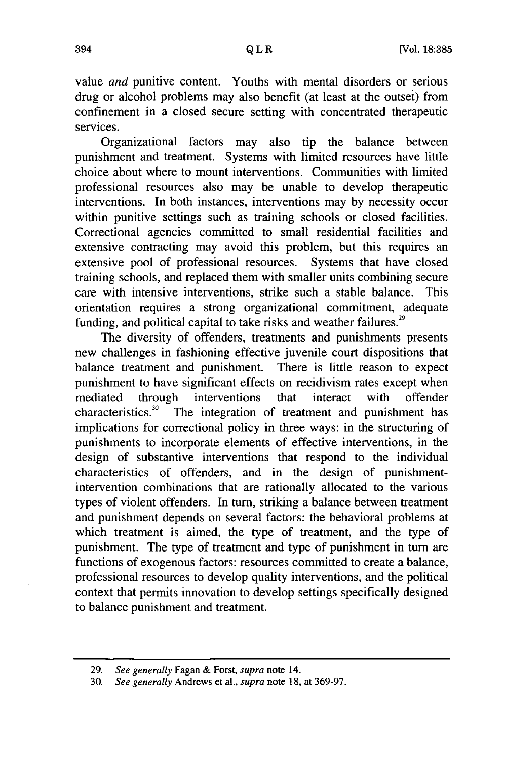value *and* punitive content. Youths with mental disorders or serious drug or alcohol problems may also benefit (at least at the outsei) from confinement in a closed secure setting with concentrated therapeutic services.

Organizational factors may also tip the balance between punishment and treatment. Systems with limited resources have little choice about where to mount interventions. Communities with limited professional resources also may be unable to develop therapeutic interventions. In both instances, interventions may by necessity occur within punitive settings such as training schools or closed facilities. Correctional agencies committed to small residential facilities and extensive contracting may avoid this problem, but this requires an extensive pool of professional resources. Systems that have closed training schools, and replaced them with smaller units combining secure care with intensive interventions, strike such a stable balance. This orientation requires a strong organizational commitment, adequate funding, and political capital to take risks and weather failures.<sup>29</sup>

The diversity of offenders, treatments and punishments presents new challenges in fashioning effective juvenile court dispositions that balance treatment and punishment. There is little reason to expect punishment to have significant effects on recidivism rates except when mediated through interventions that interact with offender characteristics.<sup>30</sup> The integration of treatment and punishment has The integration of treatment and punishment has implications for correctional policy in three ways: in the structuring of punishments to incorporate elements of effective interventions, in the design of substantive interventions that respond to the individual characteristics of offenders, and in the design of punishmentintervention combinations that are rationally allocated to the various types of violent offenders. In turn, striking a balance between treatment and punishment depends on several factors: the behavioral problems at which treatment is aimed, the type of treatment, and the type of punishment. The type of treatment and type of punishment in turn are functions of exogenous factors: resources committed to create a balance, professional resources to develop quality interventions, and the political context that permits innovation to develop settings specifically designed to balance punishment and treatment.

<sup>29.</sup> *See generally* Fagan & Forst, *supra* note 14.

<sup>30.</sup> *See generally* Andrews et al., *supra* note 18, at 369-97.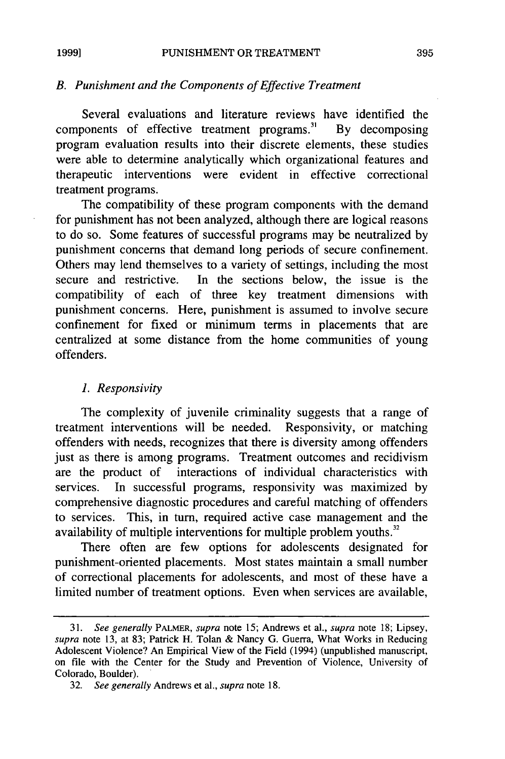# *B. Punishment and the Components of Effective Treatment*

Several evaluations and literature reviews have identified the components of effective treatment programs.<sup>31</sup> By decomposing program evaluation results into their discrete elements, these studies were able to determine analytically which organizational features and therapeutic interventions were evident in effective correctional treatment programs.

The compatibility of these program components with the demand for punishment has not been analyzed, although there are logical reasons to do so. Some features of successful programs may be neutralized by punishment concerns that demand long periods of secure confinement. Others may lend themselves to a variety of settings, including the most secure and restrictive. In the sections below, the issue is the compatibility of each of three key treatment dimensions with punishment concerns. Here, punishment is assumed to involve secure confinement for fixed or minimum terms in placements that are centralized at some distance from the home communities of young offenders.

#### *1. Responsivity*

The complexity of juvenile criminality suggests that a range of treatment interventions will be needed. Responsivity, or matching offenders with needs, recognizes that there is diversity among offenders just as there is among programs. Treatment outcomes and recidivism are the product of interactions of individual characteristics with services. In successful programs, responsivity was maximized by comprehensive diagnostic procedures and careful matching of offenders to services. This, in turn, required active case management and the availability of multiple interventions for multiple problem youths.<sup>32</sup>

There often are few options for adolescents designated for punishment-oriented placements. Most states maintain a small number of correctional placements for adolescents, and most of these have a limited number of treatment options. Even when services are available,

<sup>31.</sup> *See generally* PALMER, *supra* note 15; Andrews et a]., *supra* note 18; Lipsey, *supra* note 13, at 83; Patrick H. Tolan & Nancy G. Guerra, What Works in Reducing Adolescent Violence? An Empirical View of the Field (1994) (unpublished manuscript, on file with the Center for the Study and Prevention of Violence, University of Colorado, Boulder).

<sup>32.</sup> *See generally* Andrews et al., *supra* note 18.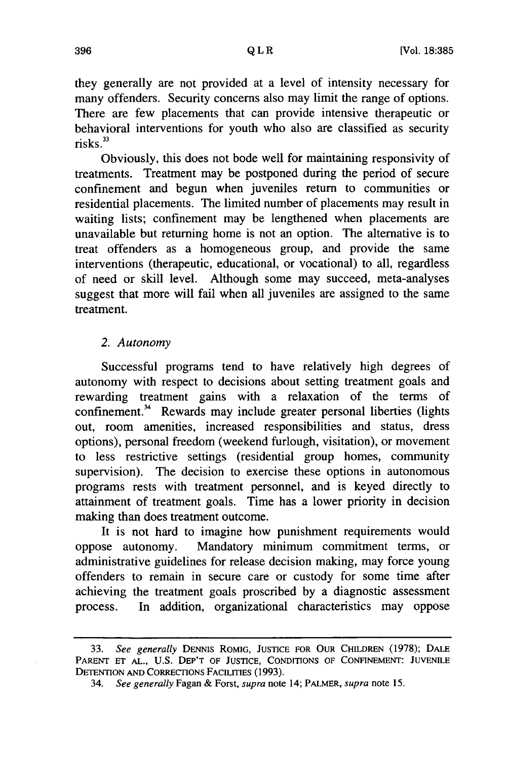they generally are not provided at a level of intensity necessary for many offenders. Security concerns also may limit the range of options. There are few placements that can provide intensive therapeutic or behavioral interventions for youth who also are classified as security  $risks.<sup>33</sup>$ 

Obviously, this does not bode well for maintaining responsivity of treatments. Treatment may be postponed during the period of secure confinement and begun when juveniles return to communities or residential placements. The limited number of placements may result in waiting lists; confinement may be lengthened when placements are unavailable but returning home is not an option. The alternative is to treat offenders as a homogeneous group, and provide the same interventions (therapeutic, educational, or vocational) to all, regardless of need or skill level. Although some may succeed, meta-analyses suggest that more will fail when all juveniles are assigned to the same treatment.

#### *2. Autonomy*

Successful programs tend to have relatively high degrees of autonomy with respect to decisions about setting treatment goals and rewarding treatment gains with a relaxation of the terms of confinement.<sup>34</sup> Rewards may include greater personal liberties (lights out, room amenities, increased responsibilities and status, dress options), personal freedom (weekend furlough, visitation), or movement to less restrictive settings (residential group homes, community supervision). The decision to exercise these options in autonomous programs rests with treatment personnel, and is keyed directly to attainment of treatment goals. Time has a lower priority in decision making than does treatment outcome.

It is not hard to imagine how punishment requirements would oppose autonomy. Mandatory minimum commitment terms, or administrative guidelines for release decision making, may force young offenders to remain in secure care or custody for some time after achieving the treatment goals proscribed by a diagnostic assessment process. In addition, organizational characteristics may oppose

<sup>33.</sup> *See generally* DENNIS ROMIG, JUSTICE FOR OUR CHILDREN (1978); DALE PARENT ET AL., U.S. DEP'T OF JUSTICE, CONDITIONS OF CONFINEMENT: JUVENILE DETENTION **AND** CORRECTIONS FACILITIES (1993).

<sup>34.</sup> *See generally* Fagan & Forst, *supra* note 14; PALMER, *supra* note 15.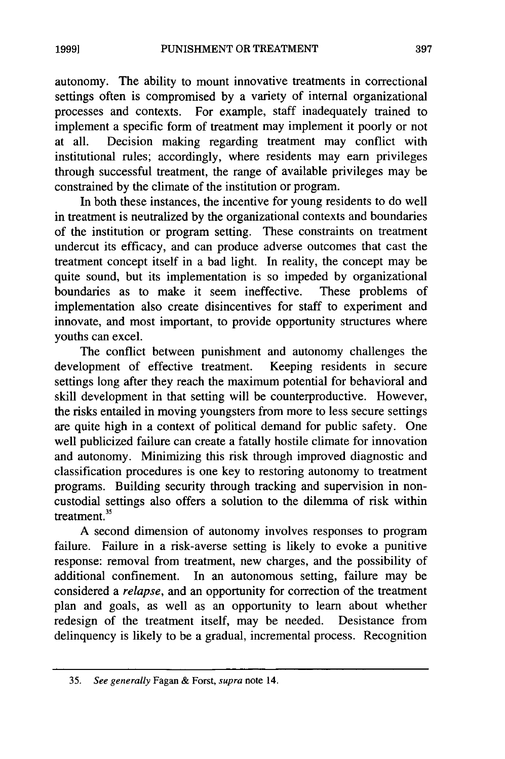autonomy. The ability to mount innovative treatments in correctional settings often is compromised by a variety of internal organizational processes and contexts. For example, staff inadequately trained to implement a specific form of treatment may implement it poorly or not at all. Decision making regarding treatment may conflict with institutional rules; accordingly, where residents may earn privileges through successful treatment, the range of available privileges may be constrained by the climate of the institution or program.

In both these instances, the incentive for young residents to do well in treatment is neutralized by the organizational contexts and boundaries of the institution or program setting. These constraints on treatment undercut its efficacy, and can produce adverse outcomes that cast the treatment concept itself in a bad light. In reality, the concept may be quite sound, but its implementation is so impeded by organizational boundaries as to make it seem ineffective. These problems of implementation also create disincentives for staff to experiment and innovate, and most important, to provide opportunity structures where youths can excel.

The conflict between punishment and autonomy challenges the development of effective treatment. Keeping residents in secure settings long after they reach the maximum potential for behavioral and skill development in that setting will be counterproductive. However, the risks entailed in moving youngsters from more to less secure settings are quite high in a context of political demand for public safety. One well publicized failure can create a fatally hostile climate for innovation and autonomy. Minimizing this risk through improved diagnostic and classification procedures is one key to restoring autonomy to treatment programs. Building security through tracking and supervision in noncustodial settings also offers a solution to the dilemma of risk within treatment. $35$ 

A second dimension of autonomy involves responses to program failure. Failure in a risk-averse setting is likely to evoke a punitive response: removal from treatment, new charges, and the possibility of additional confinement. In an autonomous setting, failure may be considered a *relapse,* and an opportunity for correction of the treatment plan and goals, as well as an opportunity to learn about whether redesign of the treatment itself, may be needed. Desistance from delinquency is likely to be a gradual, incremental process. Recognition

<sup>35.</sup> *See generally* Fagan & Forst, *supra* note 14.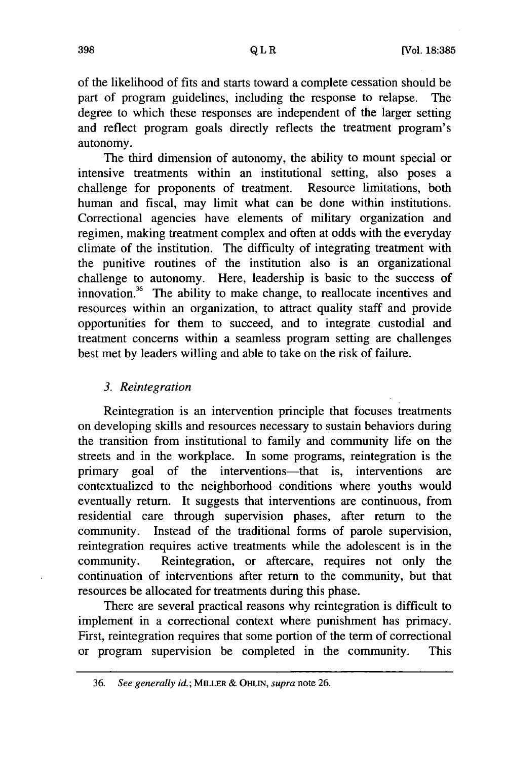of the likelihood of fits and starts toward a complete cessation should be part of program guidelines, including the response to relapse. The degree to which these responses are independent of the larger setting and reflect program goals directly reflects the treatment program's autonomy.

The third dimension of autonomy, the ability to mount special or intensive treatments within an institutional setting, also poses a challenge for proponents of treatment. Resource limitations, both human and fiscal, may limit what can be done within institutions. Correctional agencies have elements of military organization and regimen, making treatment complex and often at odds with the everyday climate of the institution. The difficulty of integrating treatment with the punitive routines of the institution also is an organizational challenge to autonomy. Here, leadership is basic to the success of innovation.<sup>36</sup> The ability to make change, to reallocate incentives and resources within an organization, to attract quality staff and provide opportunities for them to succeed, and to integrate custodial and treatment concerns within a seamless program setting are challenges best met by leaders willing and able to take on the risk of failure.

#### *3. Reintegration*

Reintegration is an intervention principle that focuses treatments on developing skills and resources necessary to sustain behaviors during the transition from institutional to family and community life on the streets and in the workplace. In some programs, reintegration is the primary goal of the interventions—that is, interventions are contextualized to the neighborhood conditions where youths would eventually return. It suggests that interventions are continuous, from residential care through supervision phases, after return to the community. Instead of the traditional forms of parole supervision, reintegration requires active treatments while the adolescent is in the community. Reintegration, or aftercare, requires not only the continuation of interventions after return to the community, but that resources be allocated for treatments during this phase.

There are several practical reasons why reintegration is difficult to implement in a correctional context where punishment has primacy. First, reintegration requires that some portion of the term of correctional or program supervision be completed in the community. This

<sup>36.</sup> *See generally id.;* MILLER *& ORLIN, supra* note 26.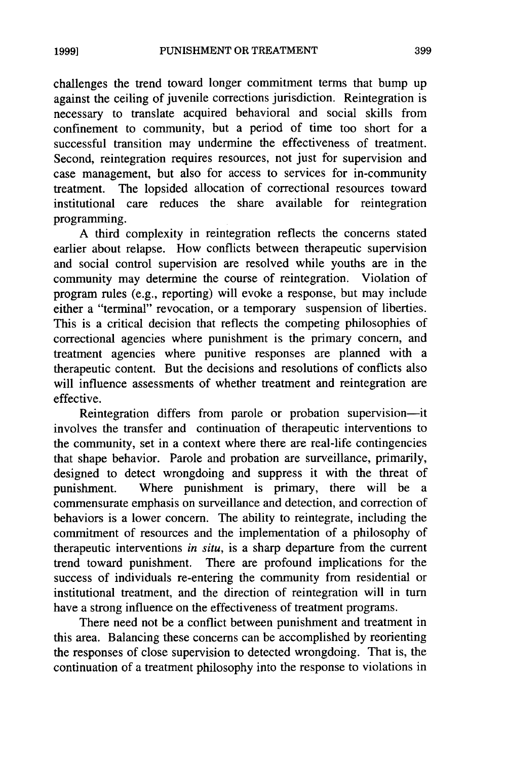challenges the trend toward longer commitment terms that bump up against the ceiling of juvenile corrections jurisdiction. Reintegration is necessary to translate acquired behavioral and social skills from confinement to community, but a period of time too short for a successful transition may undermine the effectiveness of treatment. Second, reintegration requires resources, not just for supervision and case management, but also for access to services for in-community treatment. The lopsided allocation of correctional resources toward institutional care reduces the share available for reintegration programming.

A third complexity in reintegration reflects the concerns stated earlier about relapse. How conflicts between therapeutic supervision and social control supervision are resolved while youths are in the community may determine the course of reintegration. Violation of program rules (e.g., reporting) will evoke a response, but may include either a "terminal" revocation, or a temporary suspension of liberties. This is a critical decision that reflects the competing philosophies of correctional agencies where punishment is the primary concern, and treatment agencies where punitive responses are planned with a therapeutic content. But the decisions and resolutions of conflicts also will influence assessments of whether treatment and reintegration are effective.

Reintegration differs from parole or probation supervision-it involves the transfer and continuation of therapeutic interventions to the community, set in a context where there are real-life contingencies that shape behavior. Parole and probation are surveillance, primarily, designed to detect wrongdoing and suppress it with the threat of punishment. Where punishment is primary, there will be a commensurate emphasis on surveillance and detection, and correction of behaviors is a lower concern. The ability to reintegrate, including the commitment of resources and the implementation of a philosophy of therapeutic interventions *in situ,* is a sharp departure from the current trend toward punishment. There are profound implications for the success of individuals re-entering the community from residential or institutional treatment, and the direction of reintegration will in turn have a strong influence on the effectiveness of treatment programs.

There need not be a conflict between punishment and treatment in this area. Balancing these concerns can be accomplished by reorienting the responses of close supervision to detected wrongdoing. That is, the continuation of a treatment philosophy into the response to violations in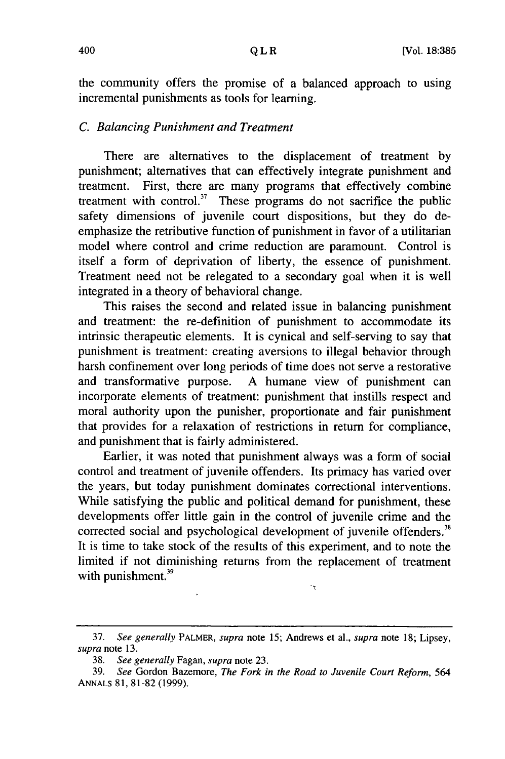the community offers the promise of a balanced approach to using incremental punishments as tools for learning.

#### *C. Balancing Punishment and Treatment*

There are alternatives to the displacement of treatment by punishment; alternatives that can effectively integrate punishment and treatment. First, there are many programs that effectively combine treatment with control.<sup>37</sup> These programs do not sacrifice the public safety dimensions of juvenile court dispositions, but they do deemphasize the retributive function of punishment in favor of a utilitarian model where control and crime reduction are paramount. Control is itself a form of deprivation of liberty, the essence of punishment. Treatment need not be relegated to a secondary goal when it is well integrated in a theory of behavioral change.

This raises the second and related issue in balancing punishment and treatment: the re-definition of punishment to accommodate its intrinsic therapeutic elements. It is cynical and self-serving to say that punishment is treatment: creating aversions to illegal behavior through harsh confinement over long periods of time does not serve a restorative and transformative purpose. A humane view of punishment can incorporate elements of treatment: punishment that instills respect and moral authority upon the punisher, proportionate and fair punishment that provides for a relaxation of restrictions in return for compliance, and punishment that is fairly administered.

Earlier, it was noted that punishment always was a form of social control and treatment of juvenile offenders. Its primacy has varied over the years, but today punishment dominates correctional interventions. While satisfying the public and political demand for punishment, these developments offer little gain in the control of juvenile crime and the corrected social and psychological development of juvenile offenders.<sup>38</sup> It is time to take stock of the results of this experiment, and to note the limited if not diminishing returns from the replacement of treatment with punishment.<sup>39</sup>  $\cdot_{\mathrm{t}}$ 

<sup>37.</sup> *See generally* PALMER, *supra* note 15; Andrews et a]., *supra* note 18; Lipsey, *supra* note 13.

<sup>38.</sup> *See generally* Fagan, *supra* note 23.

<sup>39.</sup> *See* Gordon Bazemore, *The Fork in the Road to Juvenile Court Reform, 564* ANNALS 81, 81-82 (1999).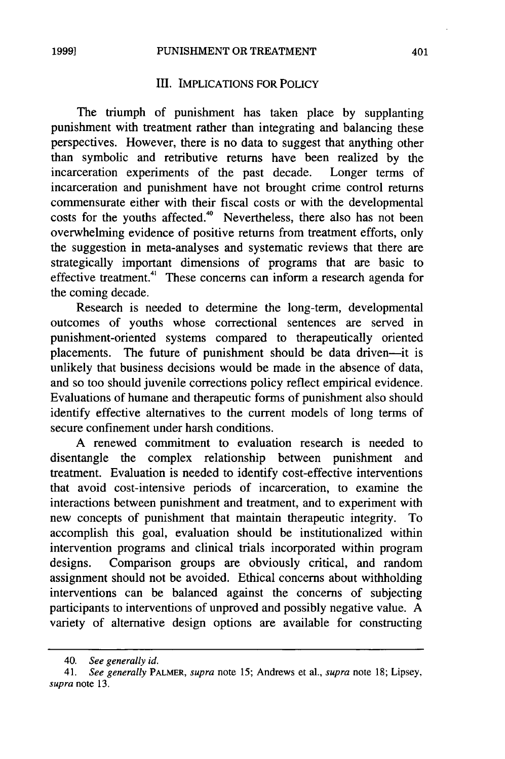#### Ill. IMPLICATIONS FOR POLICY

The triumph of punishment has taken place by supplanting punishment with treatment rather than integrating and balancing these perspectives. However, there is no data to suggest that anything other than symbolic and retributive returns have been realized by the incarceration experiments of the past decade. Longer terms of incarceration and punishment have not brought crime control returns commensurate either with their fiscal costs or with the developmental costs for the youths affected.<sup>40</sup> Nevertheless, there also has not been overwhelming evidence of positive returns from treatment efforts, only the suggestion in meta-analyses and systematic reviews that there are strategically important dimensions of programs that are basic to effective treatment.<sup>41</sup> These concerns can inform a research agenda for the coming decade.

Research is needed to determine the long-term, developmental outcomes of youths whose correctional sentences are served in punishment-oriented systems compared to therapeutically oriented placements. The future of punishment should be data driven--- it is unlikely that business decisions would be made in the absence of data, and so too should juvenile corrections policy reflect empirical evidence. Evaluations of humane and therapeutic forms of punishment also should identify effective alternatives to the current models of long terms of secure confinement under harsh conditions.

A renewed commitment to evaluation research is needed to disentangle the complex relationship between punishment and treatment. Evaluation is needed to identify cost-effective interventions that avoid cost-intensive periods of incarceration, to examine the interactions between punishment and treatment, and to experiment with new concepts of punishment that maintain therapeutic integrity. To accomplish this goal, evaluation should be institutionalized within intervention programs and clinical trials incorporated within program designs. Comparison groups are obviously critical, and random assignment should not be avoided. Ethical concerns about withholding interventions can be balanced against the concerns of subjecting participants to interventions of unproved and possibly negative value. A variety of alternative design options are available for constructing

<sup>40.</sup> *See generally id.*

<sup>41.</sup> *See generally* PALMER, *supra* note 15; Andrews et al., *supra* note 18; Lipsey, *supra* note 13.